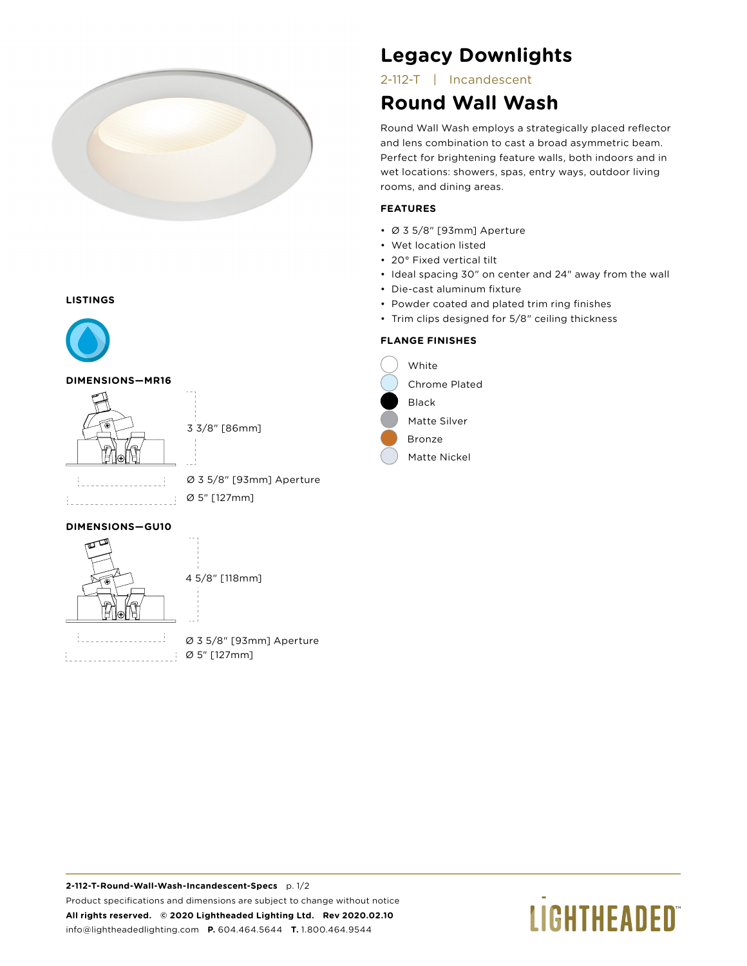

#### **LISTINGS**



#### **DIMENSIONS—MR16**



3 3/8" [86mm]

|  | $\sim$ | <b>COLLECTION</b> | <b>STATE</b> |  |  |  | $\sim$ | <b>Service</b><br>$\overline{\phantom{a}}$ |  | <b>STATE</b> |  | $\sim$ |  |
|--|--------|-------------------|--------------|--|--|--|--------|--------------------------------------------|--|--------------|--|--------|--|
|  |        |                   |              |  |  |  |        |                                            |  |              |  |        |  |

Ø 3 5/8" [93mm] Aperture Ø 5" [127mm]

#### **DIMENSIONS—GU10**



4 5/8" [118mm]

 $\cdot$ 

Ø 3 5/8" [93mm] Aperture Ø 5" [127mm]

# **Legacy Downlights**

2-112-T | Incandescent

# **Round Wall Wash**

Round Wall Wash employs a strategically placed reflector and lens combination to cast a broad asymmetric beam. Perfect for brightening feature walls, both indoors and in wet locations: showers, spas, entry ways, outdoor living rooms, and dining areas.

#### **FEATURES**

- Ø 3 5/8" [93mm] Aperture
- Wet location listed
- 20° Fixed vertical tilt
- Ideal spacing 30" on center and 24" away from the wall
- Die-cast aluminum fixture
- Powder coated and plated trim ring finishes
- Trim clips designed for 5/8" ceiling thickness

### **FLANGE FINISHES**



# **LIGHTHEADED**®